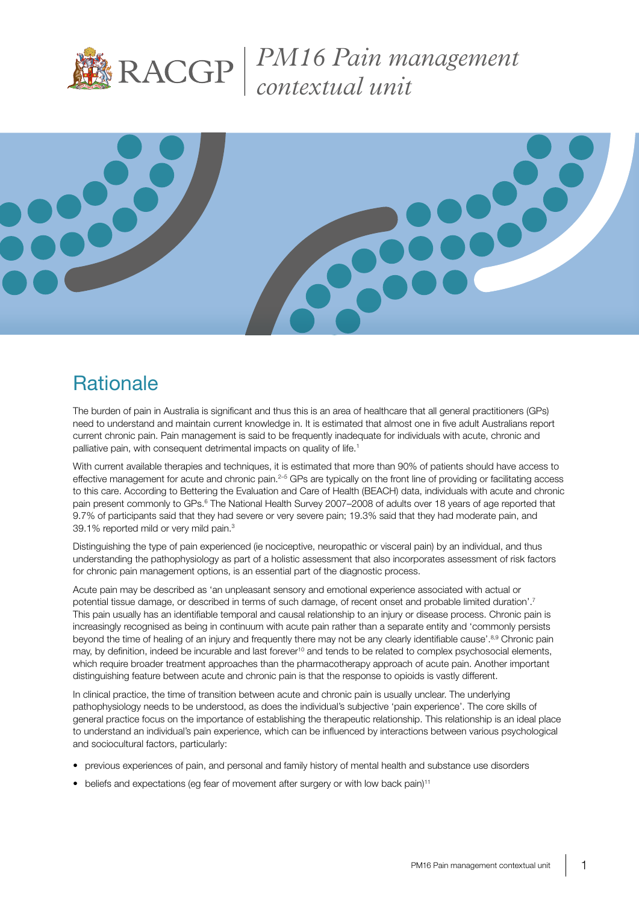

*PM16 Pain management contextual unit*



# **Rationale**

The burden of pain in Australia is significant and thus this is an area of healthcare that all general practitioners (GPs) need to understand and maintain current knowledge in. It is estimated that almost one in five adult Australians report current chronic pain. Pain management is said to be frequently inadequate for individuals with acute, chronic and palliative pain, with consequent detrimental impacts on quality of life.<sup>1</sup>

With current available therapies and techniques, it is estimated that more than 90% of patients should have access to effective management for acute and chronic pain.<sup>2–5</sup> GPs are typically on the front line of providing or facilitating access to this care. According to Bettering the Evaluation and Care of Health (BEACH) data, individuals with acute and chronic pain present commonly to GPs.<sup>6</sup> The National Health Survey 2007–2008 of adults over 18 years of age reported that 9.7% of participants said that they had severe or very severe pain; 19.3% said that they had moderate pain, and 39.1% reported mild or very mild pain.3

Distinguishing the type of pain experienced (ie nociceptive, neuropathic or visceral pain) by an individual, and thus understanding the pathophysiology as part of a holistic assessment that also incorporates assessment of risk factors for chronic pain management options, is an essential part of the diagnostic process.

Acute pain may be described as 'an unpleasant sensory and emotional experience associated with actual or potential tissue damage, or described in terms of such damage, of recent onset and probable limited duration'.7 This pain usually has an identifiable temporal and causal relationship to an injury or disease process. Chronic pain is increasingly recognised as being in continuum with acute pain rather than a separate entity and 'commonly persists beyond the time of healing of an injury and frequently there may not be any clearly identifiable cause'.<sup>8,9</sup> Chronic pain may, by definition, indeed be incurable and last forever<sup>10</sup> and tends to be related to complex psychosocial elements, which require broader treatment approaches than the pharmacotherapy approach of acute pain. Another important distinguishing feature between acute and chronic pain is that the response to opioids is vastly different.

In clinical practice, the time of transition between acute and chronic pain is usually unclear. The underlying pathophysiology needs to be understood, as does the individual's subjective 'pain experience'. The core skills of general practice focus on the importance of establishing the therapeutic relationship. This relationship is an ideal place to understand an individual's pain experience, which can be influenced by interactions between various psychological and sociocultural factors, particularly:

- previous experiences of pain, and personal and family history of mental health and substance use disorders
- beliefs and expectations (eg fear of movement after surgery or with low back pain)<sup>11</sup>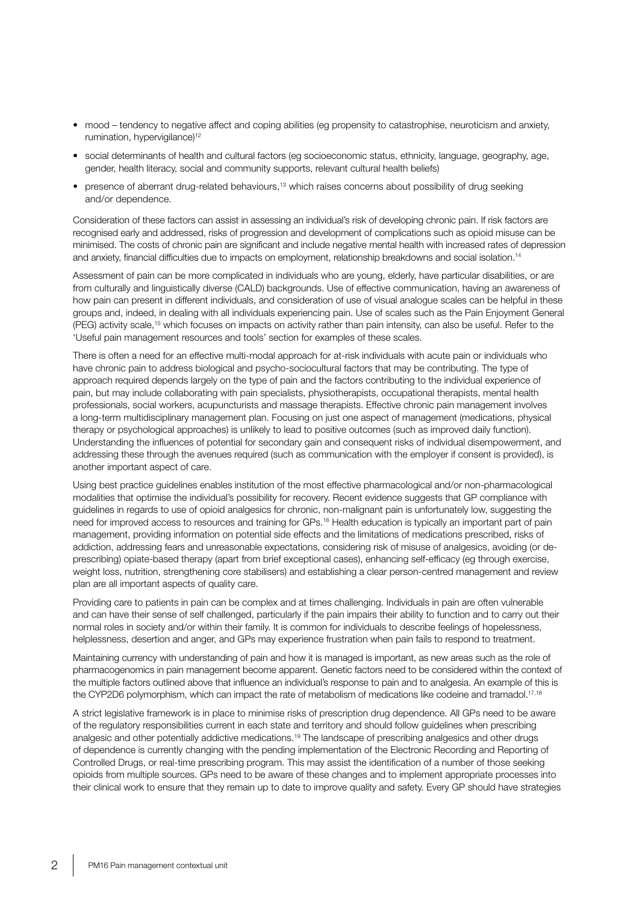- mood tendency to negative affect and coping abilities (eg propensity to catastrophise, neuroticism and anxiety, rumination, hypervigilance)<sup>12</sup>
- social determinants of health and cultural factors (eg socioeconomic status, ethnicity, language, geography, age, gender, health literacy, social and community supports, relevant cultural health beliefs)
- presence of aberrant drug-related behaviours,<sup>13</sup> which raises concerns about possibility of drug seeking and/or dependence.

Consideration of these factors can assist in assessing an individual's risk of developing chronic pain. If risk factors are recognised early and addressed, risks of progression and development of complications such as opioid misuse can be minimised. The costs of chronic pain are significant and include negative mental health with increased rates of depression and anxiety, financial difficulties due to impacts on employment, relationship breakdowns and social isolation.14

Assessment of pain can be more complicated in individuals who are young, elderly, have particular disabilities, or are from culturally and linguistically diverse (CALD) backgrounds. Use of effective communication, having an awareness of how pain can present in different individuals, and consideration of use of visual analogue scales can be helpful in these groups and, indeed, in dealing with all individuals experiencing pain. Use of scales such as the Pain Enjoyment General (PEG) activity scale,15 which focuses on impacts on activity rather than pain intensity, can also be useful. Refer to the 'Useful pain management resources and tools' section for examples of these scales.

There is often a need for an effective multi-modal approach for at-risk individuals with acute pain or individuals who have chronic pain to address biological and psycho-sociocultural factors that may be contributing. The type of approach required depends largely on the type of pain and the factors contributing to the individual experience of pain, but may include collaborating with pain specialists, physiotherapists, occupational therapists, mental health professionals, social workers, acupuncturists and massage therapists. Effective chronic pain management involves a long-term multidisciplinary management plan. Focusing on just one aspect of management (medications, physical therapy or psychological approaches) is unlikely to lead to positive outcomes (such as improved daily function). Understanding the influences of potential for secondary gain and consequent risks of individual disempowerment, and addressing these through the avenues required (such as communication with the employer if consent is provided), is another important aspect of care.

Using best practice guidelines enables institution of the most effective pharmacological and/or non-pharmacological modalities that optimise the individual's possibility for recovery. Recent evidence suggests that GP compliance with guidelines in regards to use of opioid analgesics for chronic, non-malignant pain is unfortunately low, suggesting the need for improved access to resources and training for GPs.<sup>16</sup> Health education is typically an important part of pain management, providing information on potential side effects and the limitations of medications prescribed, risks of addiction, addressing fears and unreasonable expectations, considering risk of misuse of analgesics, avoiding (or deprescribing) opiate-based therapy (apart from brief exceptional cases), enhancing self-efficacy (eg through exercise, weight loss, nutrition, strengthening core stabilisers) and establishing a clear person-centred management and review plan are all important aspects of quality care.

Providing care to patients in pain can be complex and at times challenging. Individuals in pain are often vulnerable and can have their sense of self challenged, particularly if the pain impairs their ability to function and to carry out their normal roles in society and/or within their family. It is common for individuals to describe feelings of hopelessness, helplessness, desertion and anger, and GPs may experience frustration when pain fails to respond to treatment.

Maintaining currency with understanding of pain and how it is managed is important, as new areas such as the role of pharmacogenomics in pain management become apparent. Genetic factors need to be considered within the context of the multiple factors outlined above that influence an individual's response to pain and to analgesia. An example of this is the CYP2D6 polymorphism, which can impact the rate of metabolism of medications like codeine and tramadol.<sup>17,18</sup>

A strict legislative framework is in place to minimise risks of prescription drug dependence. All GPs need to be aware of the regulatory responsibilities current in each state and territory and should follow guidelines when prescribing analgesic and other potentially addictive medications.19 The landscape of prescribing analgesics and other drugs of dependence is currently changing with the pending implementation of the Electronic Recording and Reporting of Controlled Drugs, or real-time prescribing program. This may assist the identification of a number of those seeking opioids from multiple sources. GPs need to be aware of these changes and to implement appropriate processes into their clinical work to ensure that they remain up to date to improve quality and safety. Every GP should have strategies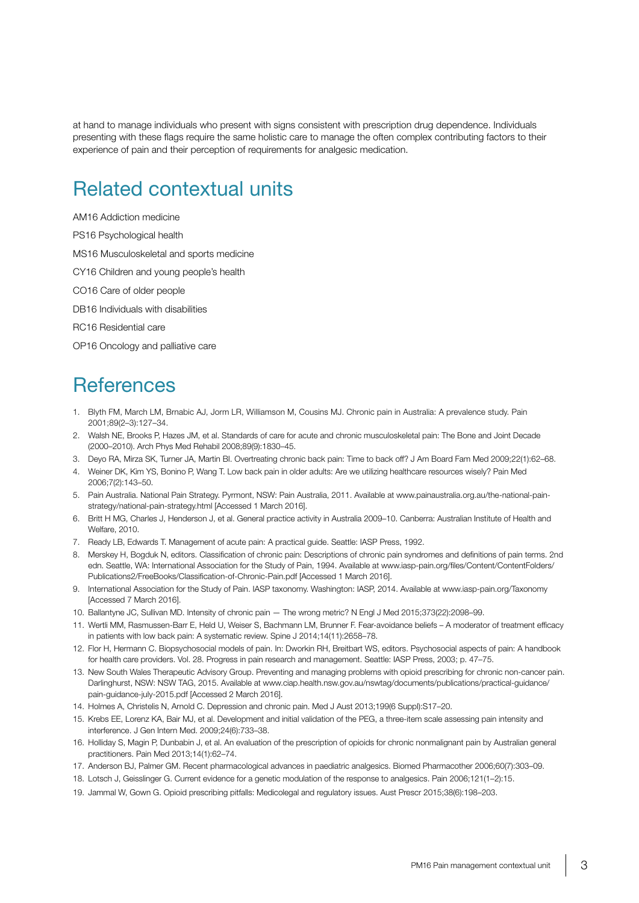at hand to manage individuals who present with signs consistent with prescription drug dependence. Individuals presenting with these flags require the same holistic care to manage the often complex contributing factors to their experience of pain and their perception of requirements for analgesic medication.

### Related contextual units

AM16 Addiction medicine

PS16 Psychological health

MS16 Musculoskeletal and sports medicine

CY16 Children and young people's health

CO16 Care of older people

DB16 Individuals with disabilities

RC16 Residential care

OP16 Oncology and palliative care

#### **References**

- 1. Blyth FM, March LM, Brnabic AJ, Jorm LR, Williamson M, Cousins MJ. Chronic pain in Australia: A prevalence study. Pain 2001;89(2–3):127–34.
- 2. Walsh NE, Brooks P, Hazes JM, et al. Standards of care for acute and chronic musculoskeletal pain: The Bone and Joint Decade (2000–2010). Arch Phys Med Rehabil 2008;89(9):1830–45.
- 3. Deyo RA, Mirza SK, Turner JA, Martin BI. Overtreating chronic back pain: Time to back off? J Am Board Fam Med 2009;22(1):62–68.
- 4. Weiner DK, Kim YS, Bonino P, Wang T. Low back pain in older adults: Are we utilizing healthcare resources wisely? Pain Med 2006;7(2):143–50.
- 5. Pain Australia. National Pain Strategy. Pyrmont, NSW: Pain Australia, 2011. Available at www.painaustralia.org.au/the-national-painstrategy/national-pain-strategy.html [Accessed 1 March 2016].
- 6. Britt H MG, Charles J, Henderson J, et al. General practice activity in Australia 2009–10. Canberra: Australian Institute of Health and Welfare, 2010.
- 7. Ready LB, Edwards T. Management of acute pain: A practical guide. Seattle: IASP Press, 1992.
- 8. Merskey H, Bogduk N, editors. Classification of chronic pain: Descriptions of chronic pain syndromes and definitions of pain terms. 2nd edn. Seattle, WA: International Association for the Study of Pain, 1994. Available at www.iasp-pain.org/files/Content/ContentFolders/ Publications2/FreeBooks/Classification-of-Chronic-Pain.pdf [Accessed 1 March 2016].
- 9. International Association for the Study of Pain. IASP taxonomy. Washington: IASP, 2014. Available at www.iasp-pain.org/Taxonomy [Accessed 7 March 2016].
- 10. Ballantyne JC, Sullivan MD. Intensity of chronic pain The wrong metric? N Engl J Med 2015;373(22):2098–99.
- 11. Wertli MM, Rasmussen-Barr E, Held U, Weiser S, Bachmann LM, Brunner F. Fear-avoidance beliefs A moderator of treatment efficacy in patients with low back pain: A systematic review. Spine J 2014;14(11):2658–78.
- 12. Flor H, Hermann C. Biopsychosocial models of pain. In: Dworkin RH, Breitbart WS, editors. Psychosocial aspects of pain: A handbook for health care providers. Vol. 28. Progress in pain research and management. Seattle: IASP Press, 2003; p. 47–75.
- 13. New South Wales Therapeutic Advisory Group. Preventing and managing problems with opioid prescribing for chronic non-cancer pain. Darlinghurst, NSW: NSW TAG, 2015. Available at www.ciap.health.nsw.gov.au/nswtag/documents/publications/practical-guidance/ pain-guidance-july-2015.pdf [Accessed 2 March 2016].
- 14. Holmes A, Christelis N, Arnold C. Depression and chronic pain. Med J Aust 2013;199(6 Suppl):S17–20.
- 15. Krebs EE, Lorenz KA, Bair MJ, et al. Development and initial validation of the PEG, a three-item scale assessing pain intensity and interference. J Gen Intern Med. 2009;24(6):733–38.
- 16. Holliday S, Magin P, Dunbabin J, et al. An evaluation of the prescription of opioids for chronic nonmalignant pain by Australian general practitioners. Pain Med 2013;14(1):62–74.
- 17. Anderson BJ, Palmer GM. Recent pharmacological advances in paediatric analgesics. Biomed Pharmacother 2006;60(7):303–09.
- 18. Lotsch J, Geisslinger G. Current evidence for a genetic modulation of the response to analgesics. Pain 2006;121(1–2):15.
- 19. Jammal W, Gown G. Opioid prescribing pitfalls: Medicolegal and regulatory issues. Aust Prescr 2015;38(6):198–203.